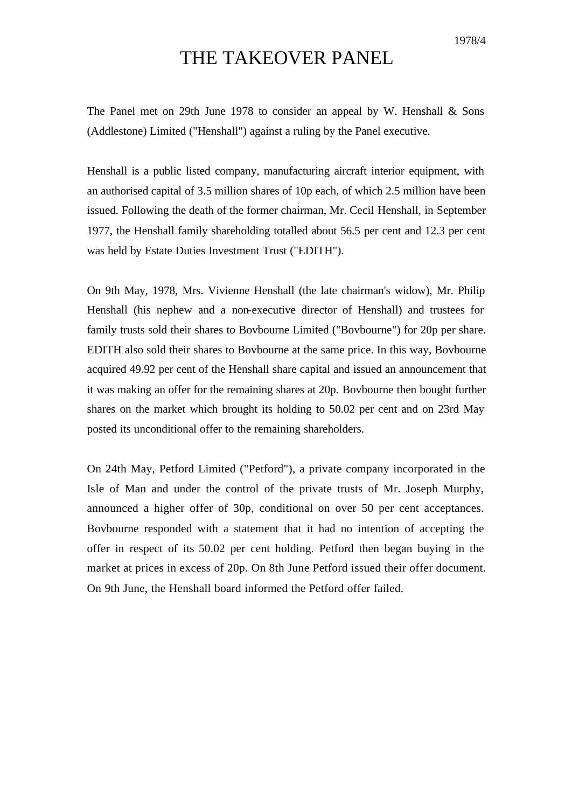1978/4

## THE TAKEOVER PANEL

The Panel met on 29th June 1978 to consider an appeal by W. Henshall & Sons (Addlestone) Limited ("Henshall") against a ruling by the Panel executive.

Henshall is a public listed company, manufacturing aircraft interior equipment, with an authorised capital of 3.5 million shares of 10p each, of which 2.5 million have been issued. Following the death of the former chairman, Mr. Cecil Henshall, in September 1977, the Henshall family shareholding totalled about 56.5 per cent and 12.3 per cent was held by Estate Duties Investment Trust ("EDITH").

On 9th May, 1978, Mrs. Vivienne Henshall (the late chairman's widow), Mr. Philip Henshall (his nephew and a non-executive director of Henshall) and trustees for family trusts sold their shares to Bovbourne Limited ("Bovbourne") for 20p per share. EDITH also sold their shares to Bovbourne at the same price. In this way, Bovbourne acquired 49.92 per cent of the Henshall share capital and issued an announcement that it was making an offer for the remaining shares at 20p. Bovbourne then bought further shares on the market which brought its holding to 50.02 per cent and on 23rd May posted its unconditional offer to the remaining shareholders.

On 24th May, Petford Limited ("Petford"), a private company incorporated in the Isle of Man and under the control of the private trusts of Mr. Joseph Murphy, announced a higher offer of 30p, conditional on over 50 per cent acceptances. Bovbourne responded with a statement that it had no intention of accepting the offer in respect of its 50.02 per cent holding. Petford then began buying in the market at prices in excess of 20p. On 8th June Petford issued their offer document. On 9th June, the Henshall board informed the Petford offer failed.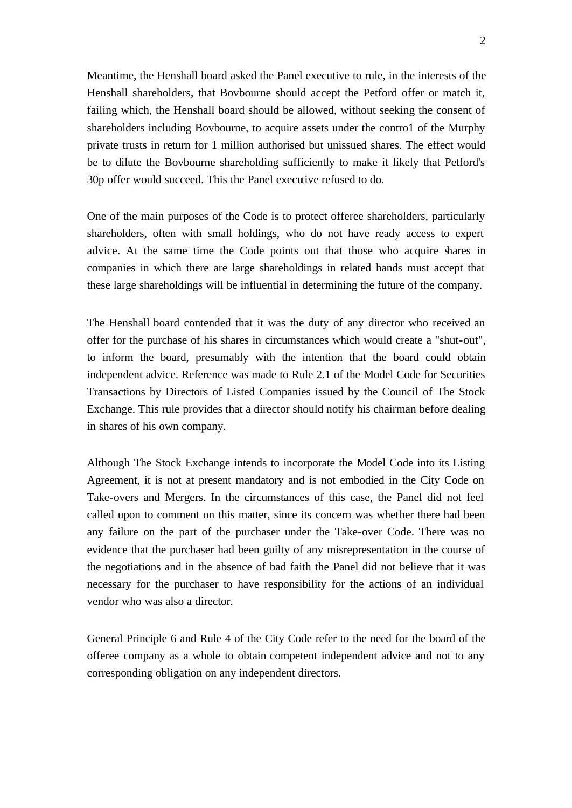Meantime, the Henshall board asked the Panel executive to rule, in the interests of the Henshall shareholders, that Bovbourne should accept the Petford offer or match it, failing which, the Henshall board should be allowed, without seeking the consent of shareholders including Bovbourne, to acquire assets under the contro1 of the Murphy private trusts in return for 1 million authorised but unissued shares. The effect would be to dilute the Bovbourne shareholding sufficiently to make it likely that Petford's 30p offer would succeed. This the Panel executive refused to do.

One of the main purposes of the Code is to protect offeree shareholders, particularly shareholders, often with small holdings, who do not have ready access to expert advice. At the same time the Code points out that those who acquire shares in companies in which there are large shareholdings in related hands must accept that these large shareholdings will be influential in determining the future of the company.

The Henshall board contended that it was the duty of any director who received an offer for the purchase of his shares in circumstances which would create a "shut-out", to inform the board, presumably with the intention that the board could obtain independent advice. Reference was made to Rule 2.1 of the Model Code for Securities Transactions by Directors of Listed Companies issued by the Council of The Stock Exchange. This rule provides that a director should notify his chairman before dealing in shares of his own company.

Although The Stock Exchange intends to incorporate the Model Code into its Listing Agreement, it is not at present mandatory and is not embodied in the City Code on Take-overs and Mergers. In the circumstances of this case, the Panel did not feel called upon to comment on this matter, since its concern was whether there had been any failure on the part of the purchaser under the Take-over Code. There was no evidence that the purchaser had been guilty of any misrepresentation in the course of the negotiations and in the absence of bad faith the Panel did not believe that it was necessary for the purchaser to have responsibility for the actions of an individual vendor who was also a director.

General Principle 6 and Rule 4 of the City Code refer to the need for the board of the offeree company as a whole to obtain competent independent advice and not to any corresponding obligation on any independent directors.